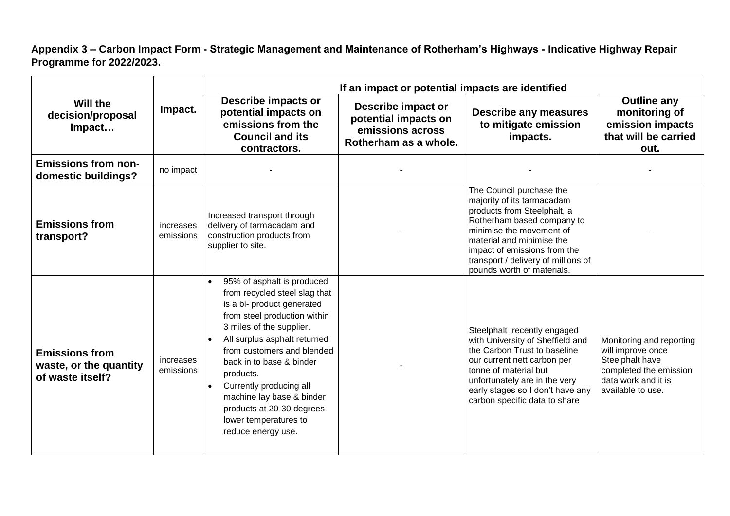**Appendix 3 – Carbon Impact Form - Strategic Management and Maintenance of Rotherham's Highways - Indicative Highway Repair Programme for 2022/2023.**

| Will the<br>decision/proposal<br>impact                             | Impact.                | If an impact or potential impacts are identified                                                                                                                                                                                                                                                                                                                                                              |                                                                                         |                                                                                                                                                                                                                                                                                   |                                                                                                                                        |
|---------------------------------------------------------------------|------------------------|---------------------------------------------------------------------------------------------------------------------------------------------------------------------------------------------------------------------------------------------------------------------------------------------------------------------------------------------------------------------------------------------------------------|-----------------------------------------------------------------------------------------|-----------------------------------------------------------------------------------------------------------------------------------------------------------------------------------------------------------------------------------------------------------------------------------|----------------------------------------------------------------------------------------------------------------------------------------|
|                                                                     |                        | Describe impacts or<br>potential impacts on<br>emissions from the<br><b>Council and its</b><br>contractors.                                                                                                                                                                                                                                                                                                   | Describe impact or<br>potential impacts on<br>emissions across<br>Rotherham as a whole. | <b>Describe any measures</b><br>to mitigate emission<br>impacts.                                                                                                                                                                                                                  | <b>Outline any</b><br>monitoring of<br>emission impacts<br>that will be carried<br>out.                                                |
| <b>Emissions from non-</b><br>domestic buildings?                   | no impact              |                                                                                                                                                                                                                                                                                                                                                                                                               |                                                                                         |                                                                                                                                                                                                                                                                                   |                                                                                                                                        |
| <b>Emissions from</b><br>transport?                                 | increases<br>emissions | Increased transport through<br>delivery of tarmacadam and<br>construction products from<br>supplier to site.                                                                                                                                                                                                                                                                                                  |                                                                                         | The Council purchase the<br>majority of its tarmacadam<br>products from Steelphalt, a<br>Rotherham based company to<br>minimise the movement of<br>material and minimise the<br>impact of emissions from the<br>transport / delivery of millions of<br>pounds worth of materials. |                                                                                                                                        |
| <b>Emissions from</b><br>waste, or the quantity<br>of waste itself? | increases<br>emissions | 95% of asphalt is produced<br>$\bullet$<br>from recycled steel slag that<br>is a bi- product generated<br>from steel production within<br>3 miles of the supplier.<br>All surplus asphalt returned<br>from customers and blended<br>back in to base & binder<br>products.<br>Currently producing all<br>machine lay base & binder<br>products at 20-30 degrees<br>lower temperatures to<br>reduce energy use. |                                                                                         | Steelphalt recently engaged<br>with University of Sheffield and<br>the Carbon Trust to baseline<br>our current nett carbon per<br>tonne of material but<br>unfortunately are in the very<br>early stages so I don't have any<br>carbon specific data to share                     | Monitoring and reporting<br>will improve once<br>Steelphalt have<br>completed the emission<br>data work and it is<br>available to use. |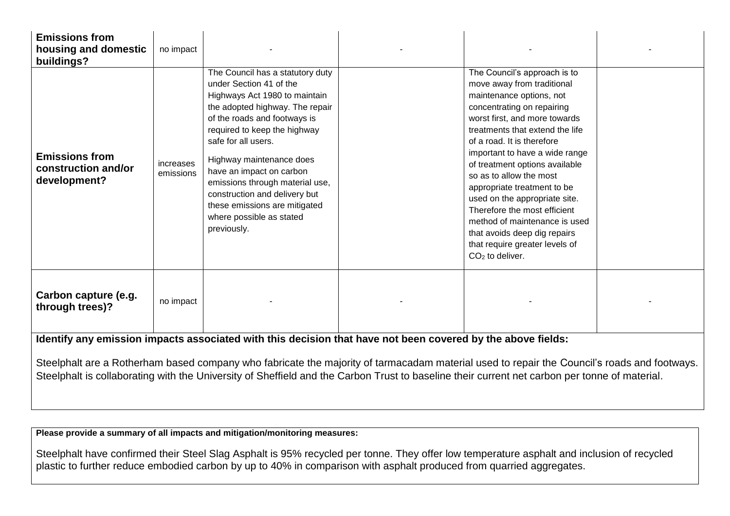| <b>Emissions from</b><br>housing and domestic<br>buildings?                                                                                                                                                                                                                                                                                                                                                 | no impact              |                                                                                                                                                                                                                                                                                                                                                                                                                                |  |                                                                                                                                                                                                                                                                                                                                                                                                                                                                                                                                               |  |
|-------------------------------------------------------------------------------------------------------------------------------------------------------------------------------------------------------------------------------------------------------------------------------------------------------------------------------------------------------------------------------------------------------------|------------------------|--------------------------------------------------------------------------------------------------------------------------------------------------------------------------------------------------------------------------------------------------------------------------------------------------------------------------------------------------------------------------------------------------------------------------------|--|-----------------------------------------------------------------------------------------------------------------------------------------------------------------------------------------------------------------------------------------------------------------------------------------------------------------------------------------------------------------------------------------------------------------------------------------------------------------------------------------------------------------------------------------------|--|
| <b>Emissions from</b><br>construction and/or<br>development?                                                                                                                                                                                                                                                                                                                                                | increases<br>emissions | The Council has a statutory duty<br>under Section 41 of the<br>Highways Act 1980 to maintain<br>the adopted highway. The repair<br>of the roads and footways is<br>required to keep the highway<br>safe for all users.<br>Highway maintenance does<br>have an impact on carbon<br>emissions through material use,<br>construction and delivery but<br>these emissions are mitigated<br>where possible as stated<br>previously. |  | The Council's approach is to<br>move away from traditional<br>maintenance options, not<br>concentrating on repairing<br>worst first, and more towards<br>treatments that extend the life<br>of a road. It is therefore<br>important to have a wide range<br>of treatment options available<br>so as to allow the most<br>appropriate treatment to be<br>used on the appropriate site.<br>Therefore the most efficient<br>method of maintenance is used<br>that avoids deep dig repairs<br>that require greater levels of<br>$CO2$ to deliver. |  |
| Carbon capture (e.g.<br>through trees)?                                                                                                                                                                                                                                                                                                                                                                     | no impact              |                                                                                                                                                                                                                                                                                                                                                                                                                                |  |                                                                                                                                                                                                                                                                                                                                                                                                                                                                                                                                               |  |
| Identify any emission impacts associated with this decision that have not been covered by the above fields:<br>Steelphalt are a Rotherham based company who fabricate the majority of tarmacadam material used to repair the Council's roads and footways.<br>Steelphalt is collaborating with the University of Sheffield and the Carbon Trust to baseline their current net carbon per tonne of material. |                        |                                                                                                                                                                                                                                                                                                                                                                                                                                |  |                                                                                                                                                                                                                                                                                                                                                                                                                                                                                                                                               |  |

**Please provide a summary of all impacts and mitigation/monitoring measures:**

Steelphalt have confirmed their Steel Slag Asphalt is 95% recycled per tonne. They offer low temperature asphalt and inclusion of recycled plastic to further reduce embodied carbon by up to 40% in comparison with asphalt produced from quarried aggregates.